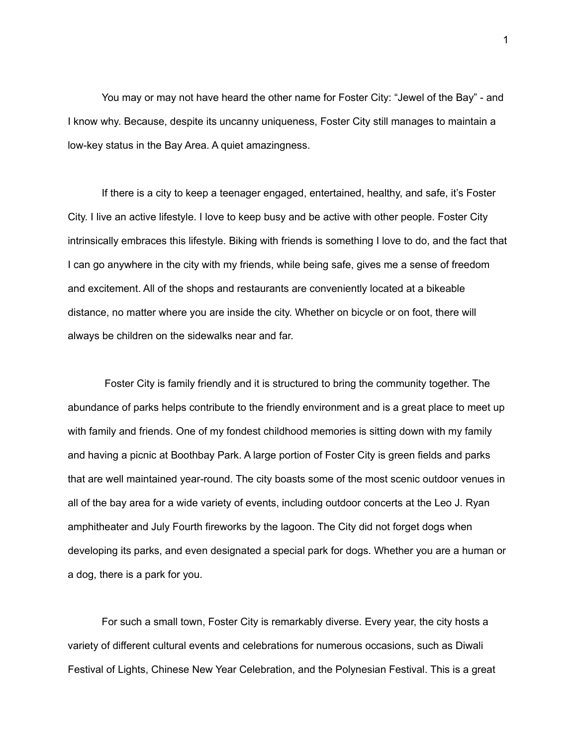You may or may not have heard the other name for Foster City: "Jewel of the Bay" - and I know why. Because, despite its uncanny uniqueness, Foster City still manages to maintain a low-key status in the Bay Area. A quiet amazingness.

If there is a city to keep a teenager engaged, entertained, healthy, and safe, it's Foster City. I live an active lifestyle. I love to keep busy and be active with other people. Foster City intrinsically embraces this lifestyle. Biking with friends is something I love to do, and the fact that I can go anywhere in the city with my friends, while being safe, gives me a sense of freedom and excitement. All of the shops and restaurants are conveniently located at a bikeable distance, no matter where you are inside the city. Whether on bicycle or on foot, there will always be children on the sidewalks near and far.

Foster City is family friendly and it is structured to bring the community together. The abundance of parks helps contribute to the friendly environment and is a great place to meet up with family and friends. One of my fondest childhood memories is sitting down with my family and having a picnic at Boothbay Park. A large portion of Foster City is green fields and parks that are well maintained year-round. The city boasts some of the most scenic outdoor venues in all of the bay area for a wide variety of events, including outdoor concerts at the Leo J. Ryan amphitheater and July Fourth fireworks by the lagoon. The City did not forget dogs when developing its parks, and even designated a special park for dogs. Whether you are a human or a dog, there is a park for you.

For such a small town, Foster City is remarkably diverse. Every year, the city hosts a variety of different cultural events and celebrations for numerous occasions, such as Diwali Festival of Lights, Chinese New Year Celebration, and the Polynesian Festival. This is a great

1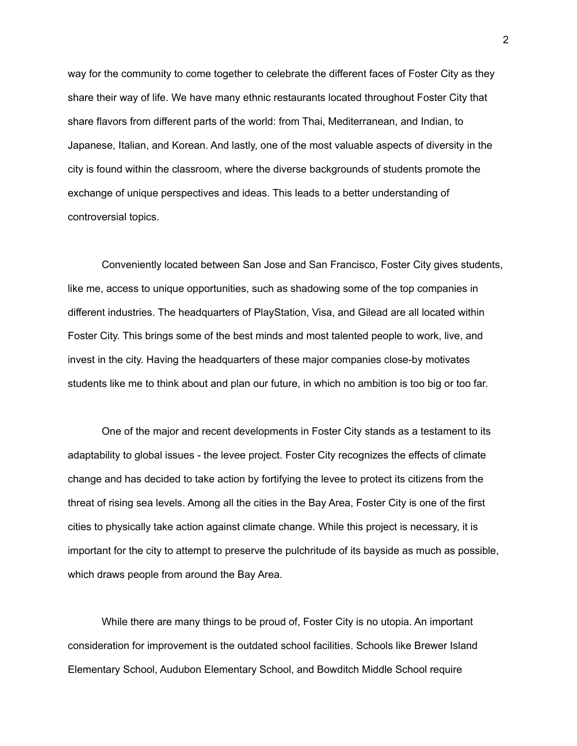way for the community to come together to celebrate the different faces of Foster City as they share their way of life. We have many ethnic restaurants located throughout Foster City that share flavors from different parts of the world: from Thai, Mediterranean, and Indian, to Japanese, Italian, and Korean. And lastly, one of the most valuable aspects of diversity in the city is found within the classroom, where the diverse backgrounds of students promote the exchange of unique perspectives and ideas. This leads to a better understanding of controversial topics.

Conveniently located between San Jose and San Francisco, Foster City gives students, like me, access to unique opportunities, such as shadowing some of the top companies in different industries. The headquarters of PlayStation, Visa, and Gilead are all located within Foster City. This brings some of the best minds and most talented people to work, live, and invest in the city. Having the headquarters of these major companies close-by motivates students like me to think about and plan our future, in which no ambition is too big or too far.

One of the major and recent developments in Foster City stands as a testament to its adaptability to global issues - the levee project. Foster City recognizes the effects of climate change and has decided to take action by fortifying the levee to protect its citizens from the threat of rising sea levels. Among all the cities in the Bay Area, Foster City is one of the first cities to physically take action against climate change. While this project is necessary, it is important for the city to attempt to preserve the pulchritude of its bayside as much as possible, which draws people from around the Bay Area.

While there are many things to be proud of, Foster City is no utopia. An important consideration for improvement is the outdated school facilities. Schools like Brewer Island Elementary School, Audubon Elementary School, and Bowditch Middle School require